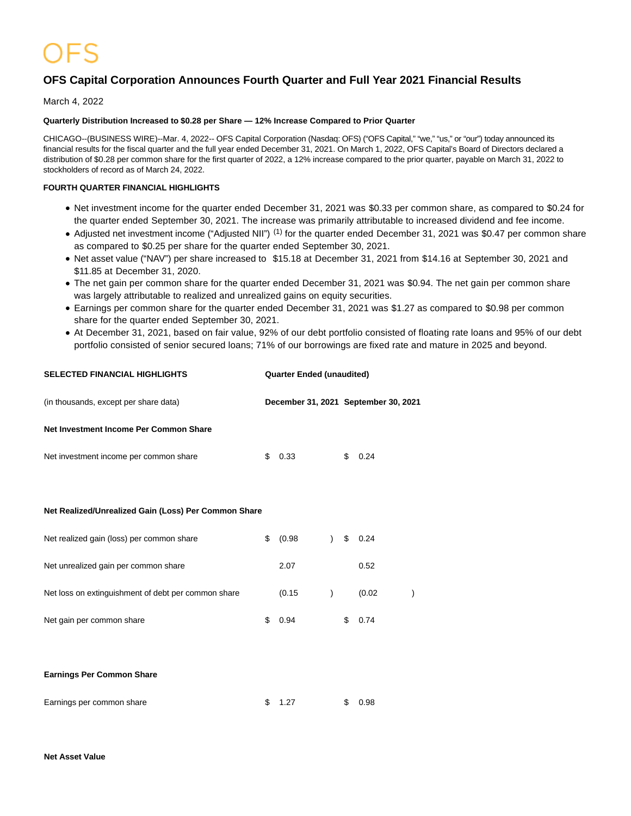# **OFS Capital Corporation Announces Fourth Quarter and Full Year 2021 Financial Results**

March 4, 2022

### **Quarterly Distribution Increased to \$0.28 per Share — 12% Increase Compared to Prior Quarter**

CHICAGO--(BUSINESS WIRE)--Mar. 4, 2022-- OFS Capital Corporation (Nasdaq: OFS) ("OFS Capital," "we," "us," or "our") today announced its financial results for the fiscal quarter and the full year ended December 31, 2021. On March 1, 2022, OFS Capital's Board of Directors declared a distribution of \$0.28 per common share for the first quarter of 2022, a 12% increase compared to the prior quarter, payable on March 31, 2022 to stockholders of record as of March 24, 2022.

## **FOURTH QUARTER FINANCIAL HIGHLIGHTS**

- Net investment income for the quarter ended December 31, 2021 was \$0.33 per common share, as compared to \$0.24 for the quarter ended September 30, 2021. The increase was primarily attributable to increased dividend and fee income.
- Adjusted net investment income ("Adjusted NII")<sup>(1)</sup> for the quarter ended December 31, 2021 was \$0.47 per common share as compared to \$0.25 per share for the quarter ended September 30, 2021.
- Net asset value ("NAV") per share increased to \$15.18 at December 31, 2021 from \$14.16 at September 30, 2021 and \$11.85 at December 31, 2020.
- The net gain per common share for the quarter ended December 31, 2021 was \$0.94. The net gain per common share was largely attributable to realized and unrealized gains on equity securities.
- Earnings per common share for the quarter ended December 31, 2021 was \$1.27 as compared to \$0.98 per common share for the quarter ended September 30, 2021.
- At December 31, 2021, based on fair value, 92% of our debt portfolio consisted of floating rate loans and 95% of our debt portfolio consisted of senior secured loans; 71% of our borrowings are fixed rate and mature in 2025 and beyond.

| (in thousands, except per share data)                |                           | December 31, 2021 September 30, 2021 |
|------------------------------------------------------|---------------------------|--------------------------------------|
| Net Investment Income Per Common Share               |                           |                                      |
| Net investment income per common share               | \$<br>0.33                | \$<br>0.24                           |
|                                                      |                           |                                      |
| Net Realized/Unrealized Gain (Loss) Per Common Share |                           |                                      |
| Net realized gain (loss) per common share            | \$<br>(0.98)<br>$\lambda$ | \$<br>0.24                           |
| Net unrealized gain per common share                 | 2.07                      | 0.52                                 |
| Net loss on extinguishment of debt per common share  | (0.15)<br>$\mathcal{E}$   | (0.02)                               |
| Net gain per common share                            | \$<br>0.94                | \$<br>0.74                           |
|                                                      |                           |                                      |
| <b>Earnings Per Common Share</b>                     |                           |                                      |

**SELECTED FINANCIAL HIGHLIGHTS Quarter Ended (unaudited)**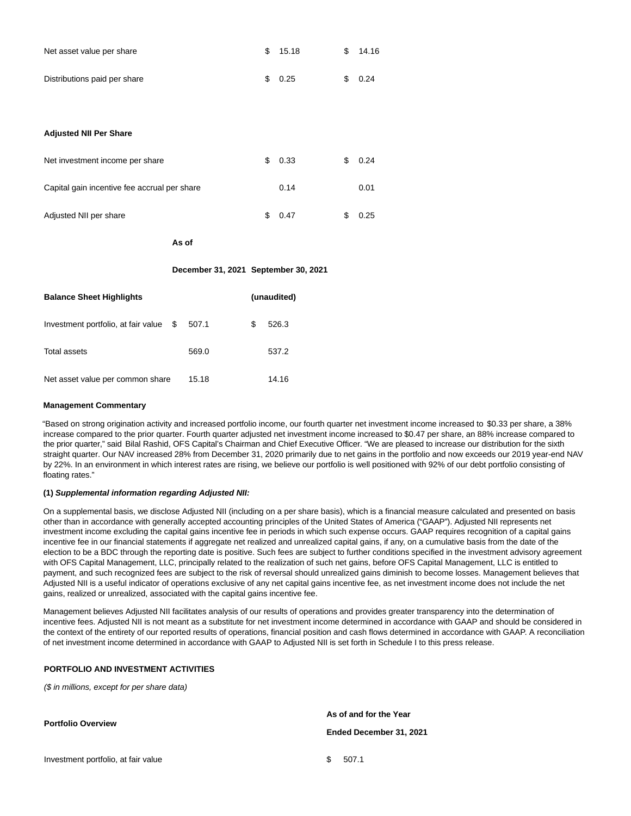| Net asset value per share    | \$15.18 | SS. | 14.16  |
|------------------------------|---------|-----|--------|
| Distributions paid per share | \$0.25  |     | \$0.24 |

#### **Adjusted NII Per Share**

| Net investment income per share              | S. | 0.33 | 0.24 |
|----------------------------------------------|----|------|------|
| Capital gain incentive fee accrual per share |    | 0.14 | 0.01 |
| Adjusted NII per share                       |    | 0.47 | 0.25 |

**As of**

#### **December 31, 2021 September 30, 2021**

| <b>Balance Sheet Highlights</b>     |   |       | (unaudited) |       |
|-------------------------------------|---|-------|-------------|-------|
| Investment portfolio, at fair value | S | 507.1 | S           | 526.3 |
| <b>Total assets</b>                 |   | 569.0 |             | 537.2 |
| Net asset value per common share    |   | 15.18 |             | 14.16 |

#### **Management Commentary**

"Based on strong origination activity and increased portfolio income, our fourth quarter net investment income increased to \$0.33 per share, a 38% increase compared to the prior quarter. Fourth quarter adjusted net investment income increased to \$0.47 per share, an 88% increase compared to the prior quarter," said Bilal Rashid, OFS Capital's Chairman and Chief Executive Officer. "We are pleased to increase our distribution for the sixth straight quarter. Our NAV increased 28% from December 31, 2020 primarily due to net gains in the portfolio and now exceeds our 2019 year-end NAV by 22%. In an environment in which interest rates are rising, we believe our portfolio is well positioned with 92% of our debt portfolio consisting of floating rates."

#### **(1) Supplemental information regarding Adjusted NII:**

On a supplemental basis, we disclose Adjusted NII (including on a per share basis), which is a financial measure calculated and presented on basis other than in accordance with generally accepted accounting principles of the United States of America ("GAAP"). Adjusted NII represents net investment income excluding the capital gains incentive fee in periods in which such expense occurs. GAAP requires recognition of a capital gains incentive fee in our financial statements if aggregate net realized and unrealized capital gains, if any, on a cumulative basis from the date of the election to be a BDC through the reporting date is positive. Such fees are subject to further conditions specified in the investment advisory agreement with OFS Capital Management, LLC, principally related to the realization of such net gains, before OFS Capital Management, LLC is entitled to payment, and such recognized fees are subject to the risk of reversal should unrealized gains diminish to become losses. Management believes that Adjusted NII is a useful indicator of operations exclusive of any net capital gains incentive fee, as net investment income does not include the net gains, realized or unrealized, associated with the capital gains incentive fee.

Management believes Adjusted NII facilitates analysis of our results of operations and provides greater transparency into the determination of incentive fees. Adjusted NII is not meant as a substitute for net investment income determined in accordance with GAAP and should be considered in the context of the entirety of our reported results of operations, financial position and cash flows determined in accordance with GAAP. A reconciliation of net investment income determined in accordance with GAAP to Adjusted NII is set forth in Schedule I to this press release.

#### **PORTFOLIO AND INVESTMENT ACTIVITIES**

(\$ in millions, except for per share data)

**Portfolio Overview**

Investment portfolio, at fair value  $$507.1$ 

**As of and for the Year Ended December 31, 2021**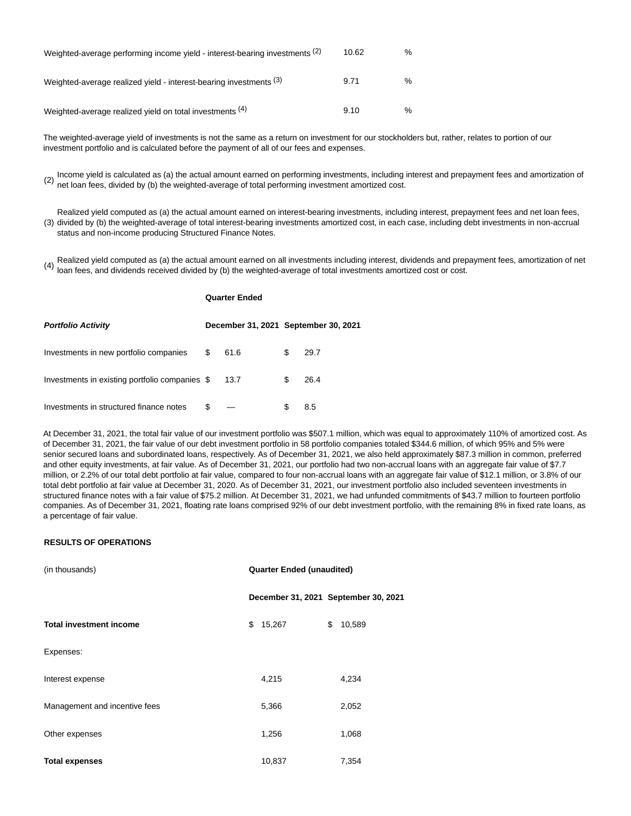| Weighted-average performing income yield - interest-bearing investments (2) | 10.62 | $\%$ |
|-----------------------------------------------------------------------------|-------|------|
| Weighted-average realized yield - interest-bearing investments (3)          | 9.71  | $\%$ |
| Weighted-average realized yield on total investments (4)                    | 9.10  | $\%$ |

The weighted-average yield of investments is not the same as a return on investment for our stockholders but, rather, relates to portion of our investment portfolio and is calculated before the payment of all of our fees and expenses.

(2) Income yield is calculated as (a) the actual amount earned on performing investments, including interest and prepayment fees and amortization of net loan fees, divided by (b) the weighted-average of total performing investment amortized cost.

(3) divided by (b) the weighted-average of total interest-bearing investments amortized cost, in each case, including debt investments in non-accrual Realized yield computed as (a) the actual amount earned on interest-bearing investments, including interest, prepayment fees and net loan fees, status and non-income producing Structured Finance Notes.

(4) Realized yield computed as (a) the actual amount earned on all investments including interest, dividends and prepayment fees, amortization of net loan fees, and dividends received divided by (b) the weighted-average of total investments amortized cost or cost.

## **Quarter Ended**

| <b>Portfolio Activity</b>                      |   | December 31, 2021 September 30, 2021 |   |      |
|------------------------------------------------|---|--------------------------------------|---|------|
| Investments in new portfolio companies         |   | 61.6                                 | S | 29.7 |
| Investments in existing portfolio companies \$ |   | 13.7                                 |   | 26.4 |
| Investments in structured finance notes        | S |                                      |   | 8.5  |

At December 31, 2021, the total fair value of our investment portfolio was \$507.1 million, which was equal to approximately 110% of amortized cost. As of December 31, 2021, the fair value of our debt investment portfolio in 58 portfolio companies totaled \$344.6 million, of which 95% and 5% were senior secured loans and subordinated loans, respectively. As of December 31, 2021, we also held approximately \$87.3 million in common, preferred and other equity investments, at fair value. As of December 31, 2021, our portfolio had two non-accrual loans with an aggregate fair value of \$7.7 million, or 2.2% of our total debt portfolio at fair value, compared to four non-accrual loans with an aggregate fair value of \$12.1 million, or 3.8% of our total debt portfolio at fair value at December 31, 2020. As of December 31, 2021, our investment portfolio also included seventeen investments in structured finance notes with a fair value of \$75.2 million. At December 31, 2021, we had unfunded commitments of \$43.7 million to fourteen portfolio companies. As of December 31, 2021, floating rate loans comprised 92% of our debt investment portfolio, with the remaining 8% in fixed rate loans, as a percentage of fair value.

#### **RESULTS OF OPERATIONS**

| (in thousands)                 | <b>Quarter Ended (unaudited)</b> |        |    |                                      |
|--------------------------------|----------------------------------|--------|----|--------------------------------------|
|                                |                                  |        |    | December 31, 2021 September 30, 2021 |
| <b>Total investment income</b> | \$                               | 15,267 | \$ | 10,589                               |
| Expenses:                      |                                  |        |    |                                      |
| Interest expense               |                                  | 4,215  |    | 4,234                                |
| Management and incentive fees  |                                  | 5,366  |    | 2,052                                |
| Other expenses                 |                                  | 1,256  |    | 1,068                                |
| <b>Total expenses</b>          |                                  | 10,837 |    | 7,354                                |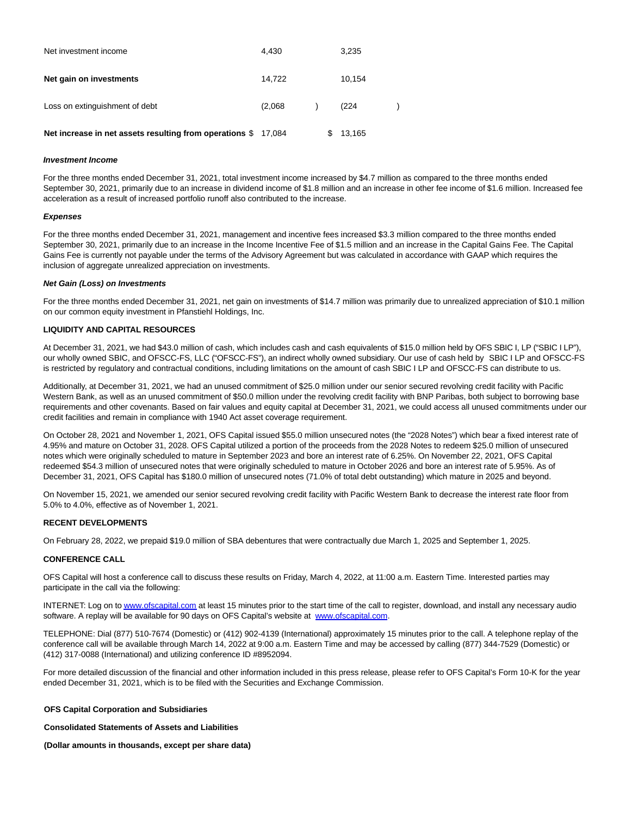| Net investment income                                   | 4.430   | 3,235  |  |
|---------------------------------------------------------|---------|--------|--|
| Net gain on investments                                 | 14,722  | 10.154 |  |
| Loss on extinguishment of debt                          | (2,068) | (224)  |  |
| Net increase in net assets resulting from operations \$ | 17.084  | 13,165 |  |

#### **Investment Income**

For the three months ended December 31, 2021, total investment income increased by \$4.7 million as compared to the three months ended September 30, 2021, primarily due to an increase in dividend income of \$1.8 million and an increase in other fee income of \$1.6 million. Increased fee acceleration as a result of increased portfolio runoff also contributed to the increase.

#### **Expenses**

For the three months ended December 31, 2021, management and incentive fees increased \$3.3 million compared to the three months ended September 30, 2021, primarily due to an increase in the Income Incentive Fee of \$1.5 million and an increase in the Capital Gains Fee. The Capital Gains Fee is currently not payable under the terms of the Advisory Agreement but was calculated in accordance with GAAP which requires the inclusion of aggregate unrealized appreciation on investments.

#### **Net Gain (Loss) on Investments**

For the three months ended December 31, 2021, net gain on investments of \$14.7 million was primarily due to unrealized appreciation of \$10.1 million on our common equity investment in Pfanstiehl Holdings, Inc.

#### **LIQUIDITY AND CAPITAL RESOURCES**

At December 31, 2021, we had \$43.0 million of cash, which includes cash and cash equivalents of \$15.0 million held by OFS SBIC I, LP ("SBIC I LP"), our wholly owned SBIC, and OFSCC-FS, LLC ("OFSCC-FS"), an indirect wholly owned subsidiary. Our use of cash held by SBIC I LP and OFSCC-FS is restricted by regulatory and contractual conditions, including limitations on the amount of cash SBIC I LP and OFSCC-FS can distribute to us.

Additionally, at December 31, 2021, we had an unused commitment of \$25.0 million under our senior secured revolving credit facility with Pacific Western Bank, as well as an unused commitment of \$50.0 million under the revolving credit facility with BNP Paribas, both subject to borrowing base requirements and other covenants. Based on fair values and equity capital at December 31, 2021, we could access all unused commitments under our credit facilities and remain in compliance with 1940 Act asset coverage requirement.

On October 28, 2021 and November 1, 2021, OFS Capital issued \$55.0 million unsecured notes (the "2028 Notes") which bear a fixed interest rate of 4.95% and mature on October 31, 2028. OFS Capital utilized a portion of the proceeds from the 2028 Notes to redeem \$25.0 million of unsecured notes which were originally scheduled to mature in September 2023 and bore an interest rate of 6.25%. On November 22, 2021, OFS Capital redeemed \$54.3 million of unsecured notes that were originally scheduled to mature in October 2026 and bore an interest rate of 5.95%. As of December 31, 2021, OFS Capital has \$180.0 million of unsecured notes (71.0% of total debt outstanding) which mature in 2025 and beyond.

On November 15, 2021, we amended our senior secured revolving credit facility with Pacific Western Bank to decrease the interest rate floor from 5.0% to 4.0%, effective as of November 1, 2021.

#### **RECENT DEVELOPMENTS**

On February 28, 2022, we prepaid \$19.0 million of SBA debentures that were contractually due March 1, 2025 and September 1, 2025.

#### **CONFERENCE CALL**

OFS Capital will host a conference call to discuss these results on Friday, March 4, 2022, at 11:00 a.m. Eastern Time. Interested parties may participate in the call via the following:

INTERNET: Log on t[o www.ofscapital.com a](https://cts.businesswire.com/ct/CT?id=smartlink&url=http%3A%2F%2Fwww.ofscapital.com&esheet=52589563&newsitemid=20220304005050&lan=en-US&anchor=www.ofscapital.com&index=1&md5=d98205c6c9e8331bea6b04692481569c)t least 15 minutes prior to the start time of the call to register, download, and install any necessary audio software. A replay will be available for 90 days on OFS Capital's website at [www.ofscapital.com.](https://cts.businesswire.com/ct/CT?id=smartlink&url=http%3A%2F%2Fwww.ofscapital.com&esheet=52589563&newsitemid=20220304005050&lan=en-US&anchor=www.ofscapital.com&index=2&md5=6879cced958e576f4e61e5a2c52f686b)

TELEPHONE: Dial (877) 510-7674 (Domestic) or (412) 902-4139 (International) approximately 15 minutes prior to the call. A telephone replay of the conference call will be available through March 14, 2022 at 9:00 a.m. Eastern Time and may be accessed by calling (877) 344-7529 (Domestic) or (412) 317-0088 (International) and utilizing conference ID #8952094.

For more detailed discussion of the financial and other information included in this press release, please refer to OFS Capital's Form 10-K for the year ended December 31, 2021, which is to be filed with the Securities and Exchange Commission.

#### **OFS Capital Corporation and Subsidiaries**

#### **Consolidated Statements of Assets and Liabilities**

**(Dollar amounts in thousands, except per share data)**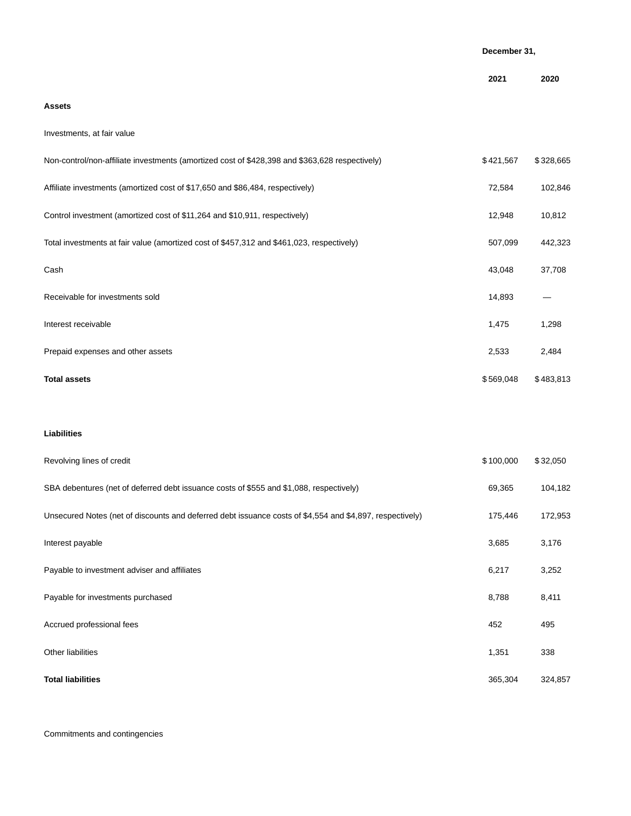|                                                                                                | December 31, |           |
|------------------------------------------------------------------------------------------------|--------------|-----------|
|                                                                                                | 2021         | 2020      |
| <b>Assets</b>                                                                                  |              |           |
| Investments, at fair value                                                                     |              |           |
| Non-control/non-affiliate investments (amortized cost of \$428,398 and \$363,628 respectively) | \$421,567    | \$328,665 |
| Affiliate investments (amortized cost of \$17,650 and \$86,484, respectively)                  | 72,584       | 102,846   |
| Control investment (amortized cost of \$11,264 and \$10,911, respectively)                     | 12,948       | 10,812    |
| Total investments at fair value (amortized cost of \$457,312 and \$461,023, respectively)      | 507,099      | 442,323   |
| Cash                                                                                           | 43,048       | 37,708    |
| Receivable for investments sold                                                                | 14,893       |           |
| Interest receivable                                                                            | 1,475        | 1,298     |
| Prepaid expenses and other assets                                                              | 2,533        | 2,484     |
|                                                                                                |              |           |

## **Total assets** \$ 569,048 \$ 483,813

## **Liabilities**

| Revolving lines of credit                                                                                | \$100,000 | \$32,050 |
|----------------------------------------------------------------------------------------------------------|-----------|----------|
| SBA debentures (net of deferred debt issuance costs of \$555 and \$1,088, respectively)                  | 69,365    | 104,182  |
| Unsecured Notes (net of discounts and deferred debt issuance costs of \$4,554 and \$4,897, respectively) | 175,446   | 172,953  |
| Interest payable                                                                                         | 3,685     | 3,176    |
| Payable to investment adviser and affiliates                                                             | 6,217     | 3,252    |
| Payable for investments purchased                                                                        | 8,788     | 8,411    |
| Accrued professional fees                                                                                | 452       | 495      |
| Other liabilities                                                                                        | 1,351     | 338      |
| <b>Total liabilities</b>                                                                                 | 365,304   | 324,857  |

Commitments and contingencies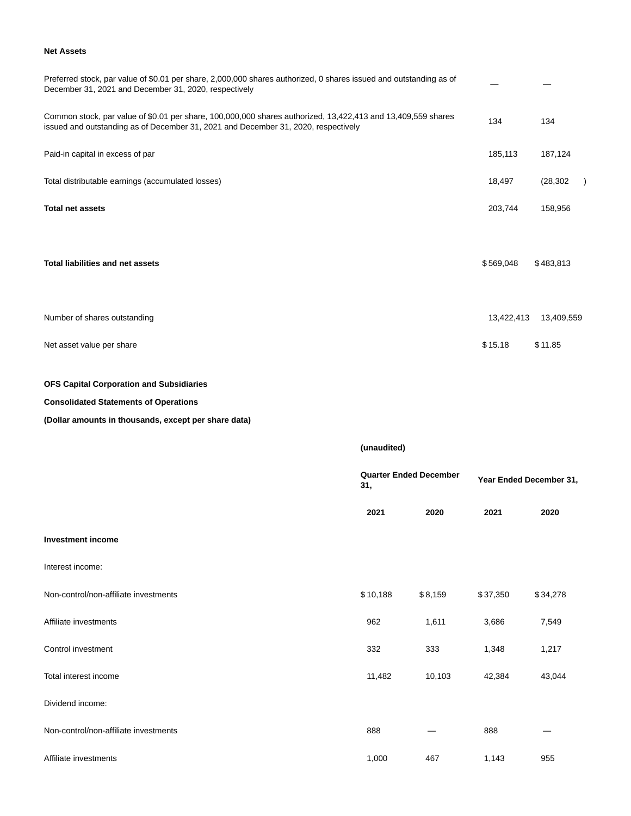## **Net Assets**

| Preferred stock, par value of \$0.01 per share, 2,000,000 shares authorized, 0 shares issued and outstanding as of<br>December 31, 2021 and December 31, 2020, respectively                        |            |            |
|----------------------------------------------------------------------------------------------------------------------------------------------------------------------------------------------------|------------|------------|
| Common stock, par value of \$0.01 per share, 100,000,000 shares authorized, 13,422,413 and 13,409,559 shares<br>issued and outstanding as of December 31, 2021 and December 31, 2020, respectively | 134        | 134        |
| Paid-in capital in excess of par                                                                                                                                                                   | 185,113    | 187,124    |
| Total distributable earnings (accumulated losses)                                                                                                                                                  | 18,497     | (28, 302)  |
| <b>Total net assets</b>                                                                                                                                                                            | 203,744    | 158,956    |
| <b>Total liabilities and net assets</b>                                                                                                                                                            | \$569,048  | \$483,813  |
| Number of shares outstanding                                                                                                                                                                       | 13,422,413 | 13,409,559 |
| Net asset value per share                                                                                                                                                                          | \$15.18    | \$11.85    |

## **OFS Capital Corporation and Subsidiaries**

## **Consolidated Statements of Operations**

## **(Dollar amounts in thousands, except per share data)**

|                                       | (unaudited) |                               |          |                         |  |
|---------------------------------------|-------------|-------------------------------|----------|-------------------------|--|
|                                       | 31,         | <b>Quarter Ended December</b> |          | Year Ended December 31, |  |
|                                       | 2021        | 2020                          | 2021     | 2020                    |  |
| <b>Investment income</b>              |             |                               |          |                         |  |
| Interest income:                      |             |                               |          |                         |  |
| Non-control/non-affiliate investments | \$10,188    | \$8,159                       | \$37,350 | \$34,278                |  |
| Affiliate investments                 | 962         | 1,611                         | 3,686    | 7,549                   |  |
| Control investment                    | 332         | 333                           | 1,348    | 1,217                   |  |
| Total interest income                 | 11,482      | 10,103                        | 42,384   | 43,044                  |  |
| Dividend income:                      |             |                               |          |                         |  |
| Non-control/non-affiliate investments | 888         |                               | 888      |                         |  |
| Affiliate investments                 | 1,000       | 467                           | 1,143    | 955                     |  |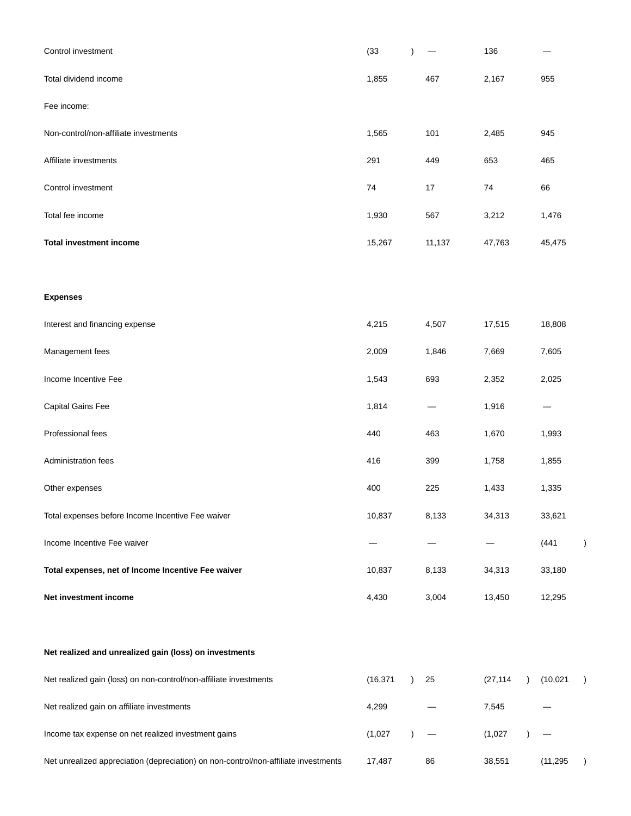| Control investment                                                                  | (33)      |           |        | 136       |           |  |
|-------------------------------------------------------------------------------------|-----------|-----------|--------|-----------|-----------|--|
| Total dividend income                                                               | 1,855     |           | 467    | 2,167     | 955       |  |
| Fee income:                                                                         |           |           |        |           |           |  |
| Non-control/non-affiliate investments                                               | 1,565     |           | 101    | 2,485     | 945       |  |
| Affiliate investments                                                               | 291       |           | 449    | 653       | 465       |  |
| Control investment                                                                  | 74        |           | 17     | 74        | 66        |  |
| Total fee income                                                                    | 1,930     |           | 567    | 3,212     | 1,476     |  |
| <b>Total investment income</b>                                                      | 15,267    |           | 11,137 | 47,763    | 45,475    |  |
|                                                                                     |           |           |        |           |           |  |
| <b>Expenses</b>                                                                     |           |           |        |           |           |  |
| Interest and financing expense                                                      | 4,215     |           | 4,507  | 17,515    | 18,808    |  |
| Management fees                                                                     | 2,009     |           | 1,846  | 7,669     | 7,605     |  |
| Income Incentive Fee                                                                | 1,543     |           | 693    | 2,352     | 2,025     |  |
| Capital Gains Fee                                                                   | 1,814     |           |        | 1,916     | —         |  |
| Professional fees                                                                   | 440       |           | 463    | 1,670     | 1,993     |  |
| Administration fees                                                                 | 416       |           | 399    | 1,758     | 1,855     |  |
| Other expenses                                                                      | 400       |           | 225    | 1,433     | 1,335     |  |
| Total expenses before Income Incentive Fee waiver                                   | 10,837    |           | 8,133  | 34,313    | 33,621    |  |
| Income Incentive Fee waiver                                                         |           |           |        |           | (441)     |  |
| Total expenses, net of Income Incentive Fee waiver                                  | 10,837    |           | 8,133  | 34,313    | 33,180    |  |
| Net investment income                                                               | 4,430     |           | 3,004  | 13,450    | 12,295    |  |
|                                                                                     |           |           |        |           |           |  |
| Net realized and unrealized gain (loss) on investments                              |           |           |        |           |           |  |
| Net realized gain (loss) on non-control/non-affiliate investments                   | (16, 371) | $\lambda$ | 25     | (27, 114) | (10,021)  |  |
| Net realized gain on affiliate investments                                          | 4,299     |           |        | 7,545     |           |  |
| Income tax expense on net realized investment gains                                 | (1,027)   |           |        | (1,027)   |           |  |
| Net unrealized appreciation (depreciation) on non-control/non-affiliate investments | 17,487    |           | 86     | 38,551    | (11, 295) |  |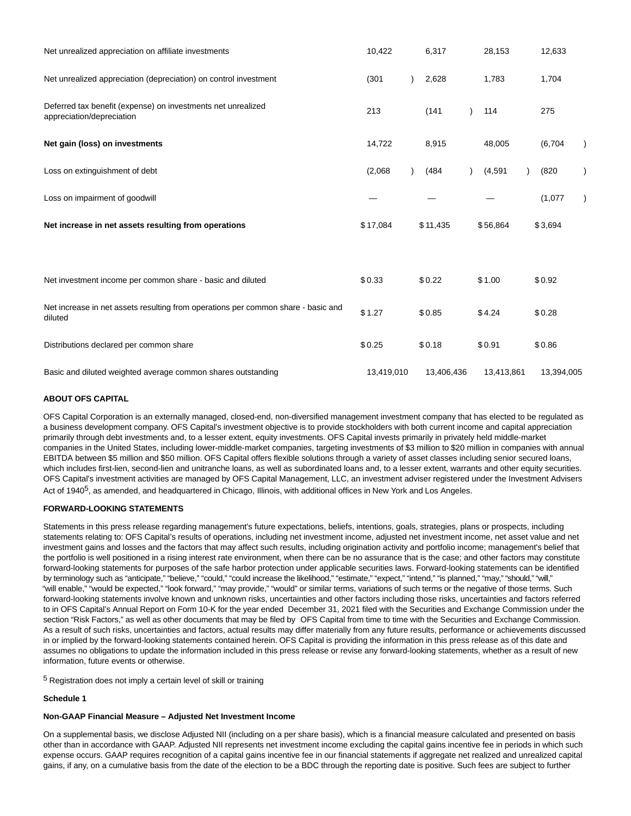| Net unrealized appreciation on affiliate investments                                         | 10,422     | 6,317      | 28,153     | 12,633     |
|----------------------------------------------------------------------------------------------|------------|------------|------------|------------|
| Net unrealized appreciation (depreciation) on control investment                             | (301)      | 2,628      | 1,783      | 1,704      |
| Deferred tax benefit (expense) on investments net unrealized<br>appreciation/depreciation    | 213        | (141)      | 114        | 275        |
| Net gain (loss) on investments                                                               | 14,722     | 8,915      | 48,005     | (6,704)    |
| Loss on extinguishment of debt                                                               | (2,068)    | (484)      | (4, 591)   | (820)      |
| Loss on impairment of goodwill                                                               |            |            |            | (1,077)    |
| Net increase in net assets resulting from operations                                         | \$17,084   | \$11,435   | \$56,864   | \$3,694    |
|                                                                                              |            |            |            |            |
| Net investment income per common share - basic and diluted                                   | \$0.33     | \$0.22     | \$1.00     | \$0.92     |
| Net increase in net assets resulting from operations per common share - basic and<br>diluted | \$1.27     | \$0.85     | \$4.24     | \$0.28     |
| Distributions declared per common share                                                      | \$0.25     | \$0.18     | \$0.91     | \$0.86     |
| Basic and diluted weighted average common shares outstanding                                 | 13,419,010 | 13,406,436 | 13,413,861 | 13,394,005 |

### **ABOUT OFS CAPITAL**

OFS Capital Corporation is an externally managed, closed-end, non-diversified management investment company that has elected to be regulated as a business development company. OFS Capital's investment objective is to provide stockholders with both current income and capital appreciation primarily through debt investments and, to a lesser extent, equity investments. OFS Capital invests primarily in privately held middle-market companies in the United States, including lower-middle-market companies, targeting investments of \$3 million to \$20 million in companies with annual EBITDA between \$5 million and \$50 million. OFS Capital offers flexible solutions through a variety of asset classes including senior secured loans, which includes first-lien, second-lien and unitranche loans, as well as subordinated loans and, to a lesser extent, warrants and other equity securities. OFS Capital's investment activities are managed by OFS Capital Management, LLC, an investment adviser registered under the Investment Advisers Act of 1940<sup>5</sup>, as amended, and headquartered in Chicago, Illinois, with additional offices in New York and Los Angeles.

#### **FORWARD-LOOKING STATEMENTS**

Statements in this press release regarding management's future expectations, beliefs, intentions, goals, strategies, plans or prospects, including statements relating to: OFS Capital's results of operations, including net investment income, adjusted net investment income, net asset value and net investment gains and losses and the factors that may affect such results, including origination activity and portfolio income; management's belief that the portfolio is well positioned in a rising interest rate environment, when there can be no assurance that is the case; and other factors may constitute forward-looking statements for purposes of the safe harbor protection under applicable securities laws. Forward-looking statements can be identified by terminology such as "anticipate," "believe," "could," "could increase the likelihood," "estimate," "expect," "intend," "is planned," "may," "should," "will," "will enable," "would be expected," "look forward," "may provide," "would" or similar terms, variations of such terms or the negative of those terms. Such forward-looking statements involve known and unknown risks, uncertainties and other factors including those risks, uncertainties and factors referred to in OFS Capital's Annual Report on Form 10-K for the year ended December 31, 2021 filed with the Securities and Exchange Commission under the section "Risk Factors," as well as other documents that may be filed by OFS Capital from time to time with the Securities and Exchange Commission. As a result of such risks, uncertainties and factors, actual results may differ materially from any future results, performance or achievements discussed in or implied by the forward-looking statements contained herein. OFS Capital is providing the information in this press release as of this date and assumes no obligations to update the information included in this press release or revise any forward-looking statements, whether as a result of new information, future events or otherwise.

5 Registration does not imply a certain level of skill or training

#### **Schedule 1**

## **Non-GAAP Financial Measure – Adjusted Net Investment Income**

On a supplemental basis, we disclose Adjusted NII (including on a per share basis), which is a financial measure calculated and presented on basis other than in accordance with GAAP. Adjusted NII represents net investment income excluding the capital gains incentive fee in periods in which such expense occurs. GAAP requires recognition of a capital gains incentive fee in our financial statements if aggregate net realized and unrealized capital gains, if any, on a cumulative basis from the date of the election to be a BDC through the reporting date is positive. Such fees are subject to further